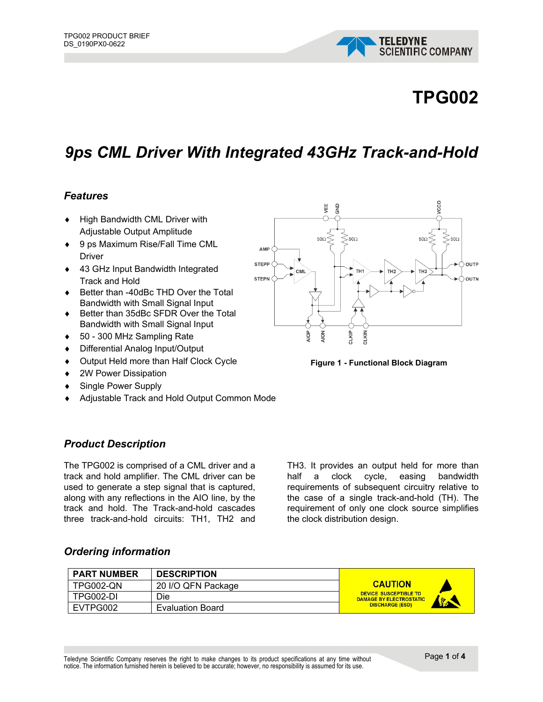

# **TPG002**

# *9ps CML Driver With Integrated 43GHz Track-and-Hold*

#### *Features*

- ♦ High Bandwidth CML Driver with Adjustable Output Amplitude
- ♦ 9 ps Maximum Rise/Fall Time CML Driver
- 43 GHz Input Bandwidth Integrated Track and Hold
- Better than -40dBc THD Over the Total Bandwidth with Small Signal Input
- ♦ Better than 35dBc SFDR Over the Total Bandwidth with Small Signal Input
- ♦ 50 300 MHz Sampling Rate
- ♦ Differential Analog Input/Output
- ♦ Output Held more than Half Clock Cycle
- ◆ 2W Power Dissipation
- ♦ Single Power Supply
- Adjustable Track and Hold Output Common Mode

### *Product Description*

The TPG002 is comprised of a CML driver and a track and hold amplifier. The CML driver can be used to generate a step signal that is captured, along with any reflections in the AIO line, by the track and hold. The Track-and-hold cascades three track-and-hold circuits: TH1, TH2 and

TH3. It provides an output held for more than half a clock cycle, easing bandwidth requirements of subsequent circuitry relative to the case of a single track-and-hold (TH). The requirement of only one clock source simplifies the clock distribution design.

#### *Ordering information*

| <b>PART NUMBER</b> | <b>DESCRIPTION</b>      |                                                                                |
|--------------------|-------------------------|--------------------------------------------------------------------------------|
| TPG002-QN          | 20 I/O QFN Package      | <b>CAUTION</b>                                                                 |
| TPG002-DI          | Die                     | <b>DEVICE SUSCEPTIBLE TO</b><br><b>DAMAGE BY ELECTROSTATIC</b><br><b>Sept.</b> |
| EVTPG002           | <b>Evaluation Board</b> | <b>DISCHARGE (ESD)</b>                                                         |

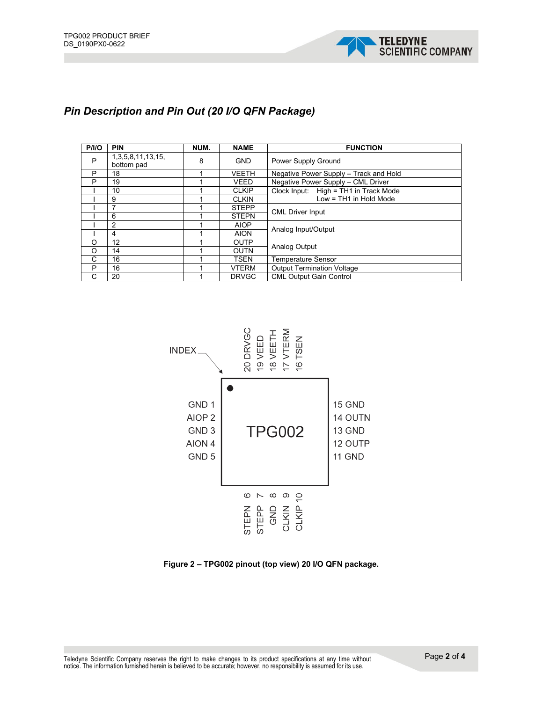

## *Pin Description and Pin Out (20 I/O QFN Package)*

| P/IO    | <b>PIN</b>                      | NUM. | <b>NAME</b>  | <b>FUNCTION</b>                        |  |
|---------|---------------------------------|------|--------------|----------------------------------------|--|
| P       | 1,3,5,8,11,13,15,<br>bottom pad | 8    | <b>GND</b>   | Power Supply Ground                    |  |
| P       | 18                              |      | <b>VEETH</b> | Negative Power Supply - Track and Hold |  |
| P       | 19                              |      | <b>VEED</b>  | Negative Power Supply - CML Driver     |  |
|         | 10                              |      | <b>CLKIP</b> | Clock Input: High = TH1 in Track Mode  |  |
|         | 9                               |      | <b>CLKIN</b> | Low = TH1 in Hold Mode                 |  |
|         |                                 |      | <b>STEPP</b> |                                        |  |
|         | 6                               |      | <b>STEPN</b> | <b>CML Driver Input</b>                |  |
|         | 2                               |      | <b>AIOP</b>  |                                        |  |
|         | 4                               |      | <b>AION</b>  | Analog Input/Output                    |  |
| O       | 12                              |      | <b>OUTP</b>  | Analog Output                          |  |
| $\circ$ | 14                              |      | <b>OUTN</b>  |                                        |  |
| C       | 16                              |      | <b>TSEN</b>  | Temperature Sensor                     |  |
| P       | 16                              |      | <b>VTERM</b> | <b>Output Termination Voltage</b>      |  |
| C       | 20                              |      | <b>DRVGC</b> | <b>CML Output Gain Control</b>         |  |



**Figure 2 – TPG002 pinout (top view) 20 I/O QFN package.**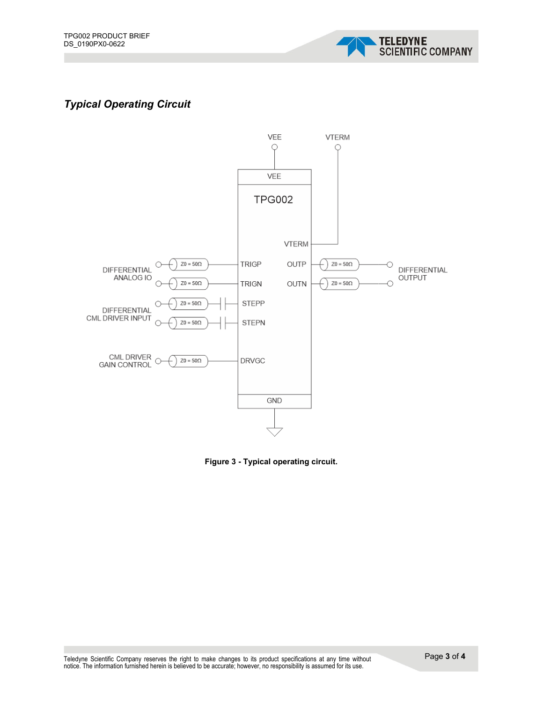

# *Typical Operating Circuit*



**Figure 3 - Typical operating circuit.**